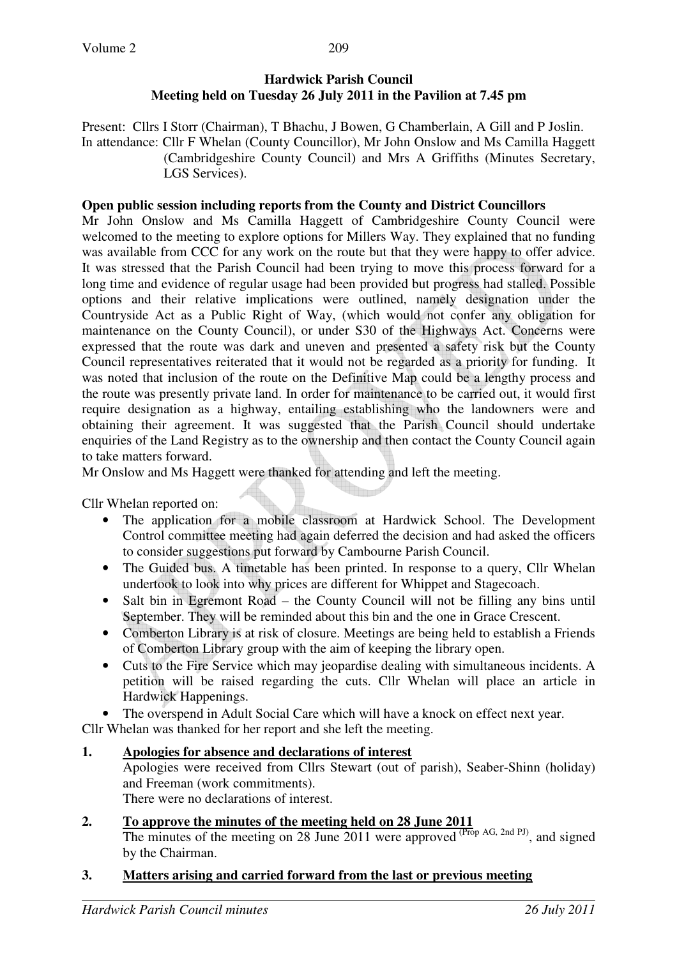## **Hardwick Parish Council Meeting held on Tuesday 26 July 2011 in the Pavilion at 7.45 pm**

Present: Cllrs I Storr (Chairman), T Bhachu, J Bowen, G Chamberlain, A Gill and P Joslin. In attendance: Cllr F Whelan (County Councillor), Mr John Onslow and Ms Camilla Haggett (Cambridgeshire County Council) and Mrs A Griffiths (Minutes Secretary, LGS Services).

#### **Open public session including reports from the County and District Councillors**

Mr John Onslow and Ms Camilla Haggett of Cambridgeshire County Council were welcomed to the meeting to explore options for Millers Way. They explained that no funding was available from CCC for any work on the route but that they were happy to offer advice. It was stressed that the Parish Council had been trying to move this process forward for a long time and evidence of regular usage had been provided but progress had stalled. Possible options and their relative implications were outlined, namely designation under the Countryside Act as a Public Right of Way, (which would not confer any obligation for maintenance on the County Council), or under S30 of the Highways Act. Concerns were expressed that the route was dark and uneven and presented a safety risk but the County Council representatives reiterated that it would not be regarded as a priority for funding. It was noted that inclusion of the route on the Definitive Map could be a lengthy process and the route was presently private land. In order for maintenance to be carried out, it would first require designation as a highway, entailing establishing who the landowners were and obtaining their agreement. It was suggested that the Parish Council should undertake enquiries of the Land Registry as to the ownership and then contact the County Council again to take matters forward.

Mr Onslow and Ms Haggett were thanked for attending and left the meeting.

Cllr Whelan reported on:

- The application for a mobile classroom at Hardwick School. The Development Control committee meeting had again deferred the decision and had asked the officers to consider suggestions put forward by Cambourne Parish Council.
- The Guided bus. A timetable has been printed. In response to a query, Cllr Whelan undertook to look into why prices are different for Whippet and Stagecoach.
- Salt bin in Egremont Road the County Council will not be filling any bins until September. They will be reminded about this bin and the one in Grace Crescent.
- Comberton Library is at risk of closure. Meetings are being held to establish a Friends of Comberton Library group with the aim of keeping the library open.
- Cuts to the Fire Service which may jeopardise dealing with simultaneous incidents. A petition will be raised regarding the cuts. Cllr Whelan will place an article in Hardwick Happenings.

The overspend in Adult Social Care which will have a knock on effect next year.

Cllr Whelan was thanked for her report and she left the meeting.

### **1. Apologies for absence and declarations of interest**

 Apologies were received from Cllrs Stewart (out of parish), Seaber-Shinn (holiday) and Freeman (work commitments).

There were no declarations of interest.

### **2. To approve the minutes of the meeting held on 28 June 2011**

The minutes of the meeting on 28 June 2011 were approved  $(Prop\ AG, 2nd\ PI)$ , and signed by the Chairman.

### **3. Matters arising and carried forward from the last or previous meeting**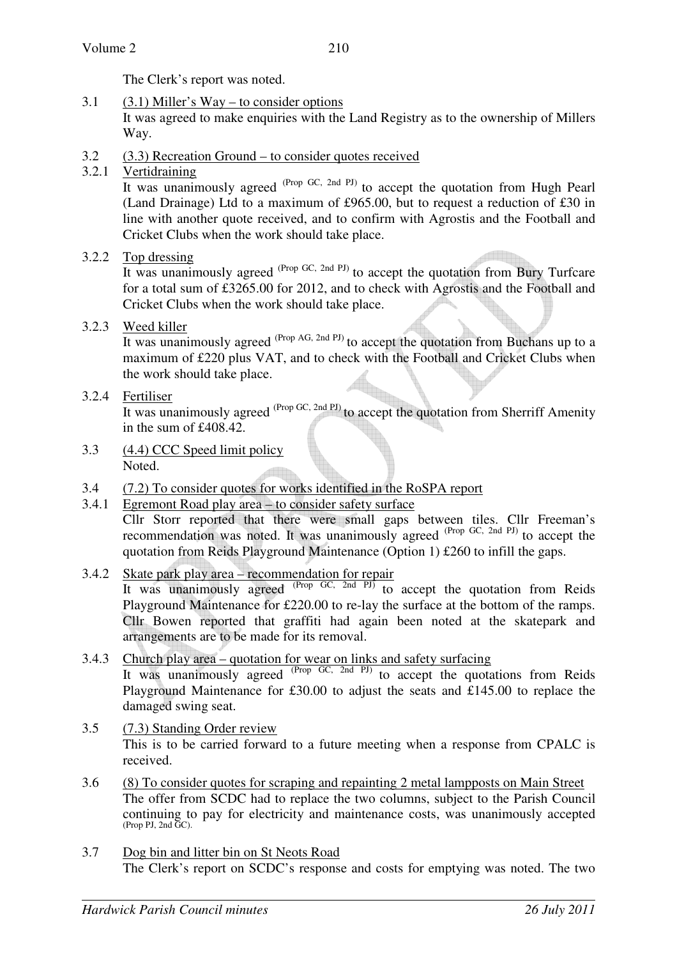The Clerk's report was noted.

- 3.1 (3.1) Miller's Way to consider options It was agreed to make enquiries with the Land Registry as to the ownership of Millers Way.
- 3.2 (3.3) Recreation Ground to consider quotes received
- 3.2.1 Vertidraining

It was unanimously agreed <sup>(Prop GC, 2nd PJ)</sup> to accept the quotation from Hugh Pearl (Land Drainage) Ltd to a maximum of £965.00, but to request a reduction of £30 in line with another quote received, and to confirm with Agrostis and the Football and Cricket Clubs when the work should take place.

3.2.2 Top dressing

It was unanimously agreed <sup>(Prop GC, 2nd PJ)</sup> to accept the quotation from Bury Turfcare for a total sum of £3265.00 for 2012, and to check with Agrostis and the Football and Cricket Clubs when the work should take place.

3.2.3 Weed killer

It was unanimously agreed  $^{(Prop\ AG, 2nd\ PJ)}$  to accept the quotation from Buchans up to a maximum of £220 plus VAT, and to check with the Football and Cricket Clubs when the work should take place.

3.2.4 Fertiliser

It was unanimously agreed <sup>(Prop GC, 2nd PJ)</sup> to accept the quotation from Sherriff Amenity in the sum of £408.42.

- 3.3 (4.4) CCC Speed limit policy Noted.
- 3.4 (7.2) To consider quotes for works identified in the RoSPA report
- 3.4.1 Egremont Road play area to consider safety surface Cllr Storr reported that there were small gaps between tiles. Cllr Freeman's recommendation was noted. It was unanimously agreed <sup>(Prop GC, 2nd PJ)</sup> to accept the quotation from Reids Playground Maintenance (Option 1) £260 to infill the gaps.
- 3.4.2 Skate park play area recommendation for repair It was unanimously agreed <sup>(Prop GC, 2nd PJ)</sup> to accept the quotation from Reids Playground Maintenance for £220.00 to re-lay the surface at the bottom of the ramps. Cllr Bowen reported that graffiti had again been noted at the skatepark and arrangements are to be made for its removal.
- 3.4.3 Church play area quotation for wear on links and safety surfacing It was unanimously agreed <sup>(Prop GC, 2nd PJ)</sup> to accept the quotations from Reids Playground Maintenance for £30.00 to adjust the seats and £145.00 to replace the damaged swing seat.
- 3.5 (7.3) Standing Order review This is to be carried forward to a future meeting when a response from CPALC is received.
- 3.6 (8) To consider quotes for scraping and repainting 2 metal lampposts on Main Street The offer from SCDC had to replace the two columns, subject to the Parish Council continuing to pay for electricity and maintenance costs, was unanimously accepted (Prop PJ, 2nd GC).
- 3.7 Dog bin and litter bin on St Neots Road The Clerk's report on SCDC's response and costs for emptying was noted. The two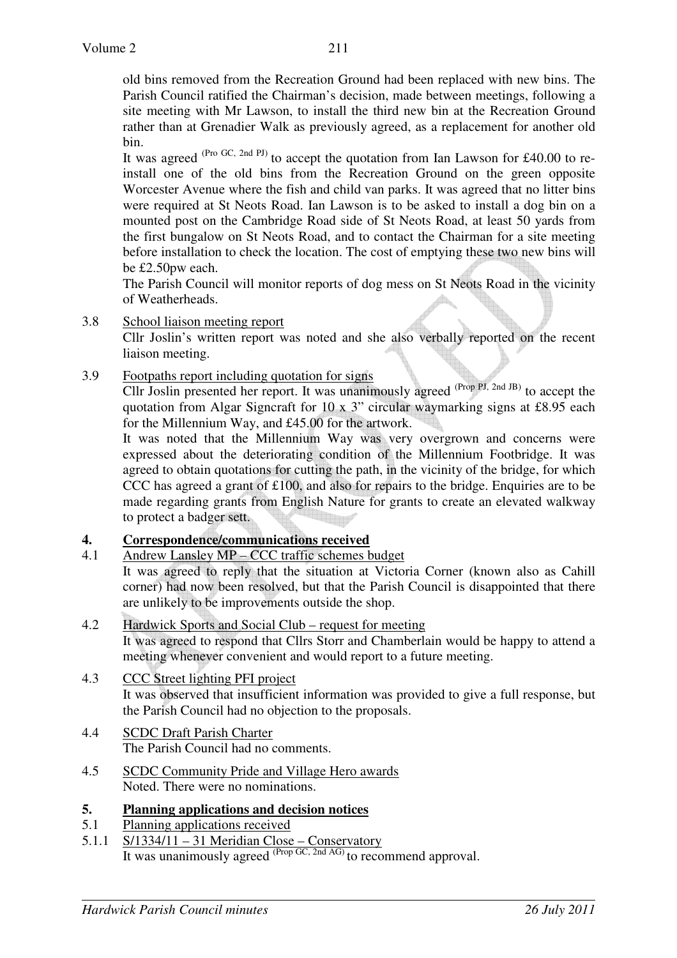old bins removed from the Recreation Ground had been replaced with new bins. The Parish Council ratified the Chairman's decision, made between meetings, following a site meeting with Mr Lawson, to install the third new bin at the Recreation Ground rather than at Grenadier Walk as previously agreed, as a replacement for another old bin.

It was agreed  $(Pro \, GC, 2nd \, PI)$  to accept the quotation from Ian Lawson for £40.00 to reinstall one of the old bins from the Recreation Ground on the green opposite Worcester Avenue where the fish and child van parks. It was agreed that no litter bins were required at St Neots Road. Ian Lawson is to be asked to install a dog bin on a mounted post on the Cambridge Road side of St Neots Road, at least 50 yards from the first bungalow on St Neots Road, and to contact the Chairman for a site meeting before installation to check the location. The cost of emptying these two new bins will be £2.50pw each.

The Parish Council will monitor reports of dog mess on St Neots Road in the vicinity of Weatherheads.

3.8 School liaison meeting report

Cllr Joslin's written report was noted and she also verbally reported on the recent liaison meeting.

3.9 Footpaths report including quotation for signs

Cllr Joslin presented her report. It was unanimously agreed <sup>(Prop PJ, 2nd JB)</sup> to accept the quotation from Algar Signcraft for 10 x 3" circular waymarking signs at £8.95 each for the Millennium Way, and £45.00 for the artwork.

It was noted that the Millennium Way was very overgrown and concerns were expressed about the deteriorating condition of the Millennium Footbridge. It was agreed to obtain quotations for cutting the path, in the vicinity of the bridge, for which CCC has agreed a grant of  $£100$ , and also for repairs to the bridge. Enquiries are to be made regarding grants from English Nature for grants to create an elevated walkway to protect a badger sett.

# **4. Correspondence/communications received**<br>4.1 Andrew Lanslev MP – CCC traffic schemes b

Andrew Lansley MP – CCC traffic schemes budget

 It was agreed to reply that the situation at Victoria Corner (known also as Cahill corner) had now been resolved, but that the Parish Council is disappointed that there are unlikely to be improvements outside the shop.

- 4.2 Hardwick Sports and Social Club request for meeting It was agreed to respond that Cllrs Storr and Chamberlain would be happy to attend a meeting whenever convenient and would report to a future meeting.
- 4.3 CCC Street lighting PFI project It was observed that insufficient information was provided to give a full response, but the Parish Council had no objection to the proposals.
- 4.4 SCDC Draft Parish Charter The Parish Council had no comments.
- 4.5 SCDC Community Pride and Village Hero awards Noted. There were no nominations.
- **5. Planning applications and decision notices**
- 5.1 Planning applications received
- 5.1.1 S/1334/11 31 Meridian Close Conservatory It was unanimously agreed  $^{(Prop \, GC, 2nd \, AG)}$  to recommend approval.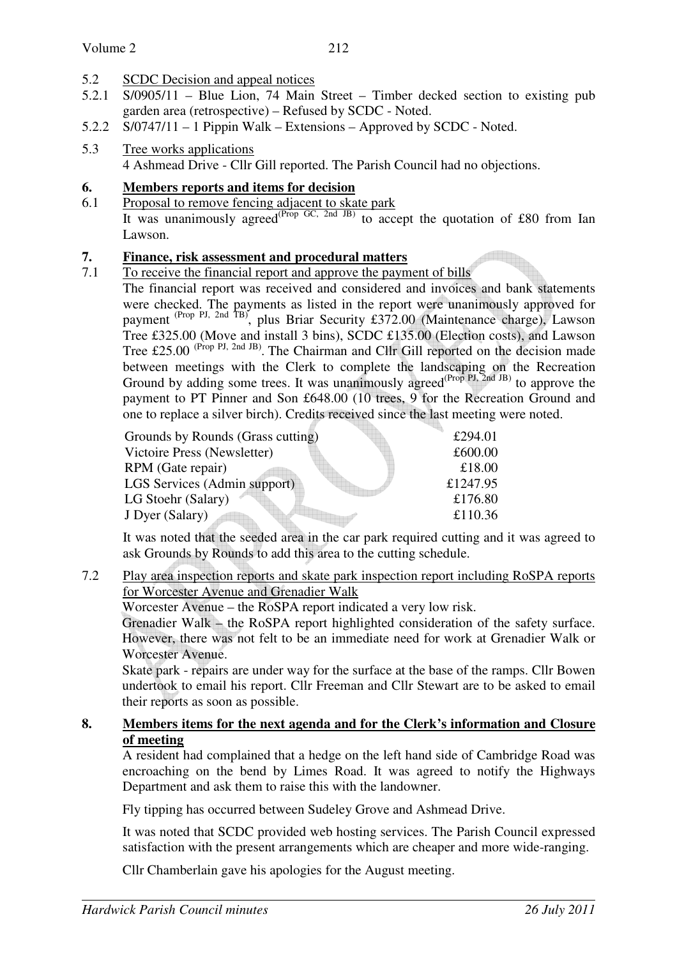## 5.2 SCDC Decision and appeal notices

- 5.2.1 S/0905/11 Blue Lion, 74 Main Street Timber decked section to existing pub garden area (retrospective) – Refused by SCDC - Noted.
- 5.2.2 S/0747/11 1 Pippin Walk Extensions Approved by SCDC Noted.
- 5.3 Tree works applications 4 Ashmead Drive - Cllr Gill reported. The Parish Council had no objections.

## **6. Members reports and items for decision**

6.1 Proposal to remove fencing adjacent to skate park It was unanimously agreed<sup>(Prop GC, 2nd JB)</sup> to accept the quotation of £80 from Ian Lawson.

## **7. Finance, risk assessment and procedural matters**

7.1 To receive the financial report and approve the payment of bills The financial report was received and considered and invoices and bank statements were checked. The payments as listed in the report were unanimously approved for payment <sup>(Prop PJ, 2nd TB)</sup>, plus Briar Security £372.00 (Maintenance charge), Lawson Tree £325.00 (Move and install 3 bins), SCDC £135.00 (Election costs), and Lawson Tree £25.00<sup> (Prop PJ, 2nd JB)</sup>. The Chairman and Cllr Gill reported on the decision made between meetings with the Clerk to complete the landscaping on the Recreation Ground by adding some trees. It was unanimously agreed<sup>(Prop PJ, 2nd JB)</sup> to approve the payment to PT Pinner and Son £648.00 (10 trees, 9 for the Recreation Ground and one to replace a silver birch). Credits received since the last meeting were noted.

| Grounds by Rounds (Grass cutting) | £294.01  |
|-----------------------------------|----------|
| Victoire Press (Newsletter)       | £600.00  |
| RPM (Gate repair)                 | £18.00   |
| LGS Services (Admin support)      | £1247.95 |
| LG Stoehr (Salary)                | £176.80  |
| J Dyer (Salary)                   | £110.36  |

 It was noted that the seeded area in the car park required cutting and it was agreed to ask Grounds by Rounds to add this area to the cutting schedule.

7.2 Play area inspection reports and skate park inspection report including RoSPA reports for Worcester Avenue and Grenadier Walk

Worcester Avenue – the RoSPA report indicated a very low risk.

Grenadier Walk – the RoSPA report highlighted consideration of the safety surface. However, there was not felt to be an immediate need for work at Grenadier Walk or Worcester Avenue.

Skate park - repairs are under way for the surface at the base of the ramps. Cllr Bowen undertook to email his report. Cllr Freeman and Cllr Stewart are to be asked to email their reports as soon as possible.

## **8. Members items for the next agenda and for the Clerk's information and Closure of meeting**

 A resident had complained that a hedge on the left hand side of Cambridge Road was encroaching on the bend by Limes Road. It was agreed to notify the Highways Department and ask them to raise this with the landowner.

Fly tipping has occurred between Sudeley Grove and Ashmead Drive.

 It was noted that SCDC provided web hosting services. The Parish Council expressed satisfaction with the present arrangements which are cheaper and more wide-ranging.

Cllr Chamberlain gave his apologies for the August meeting.